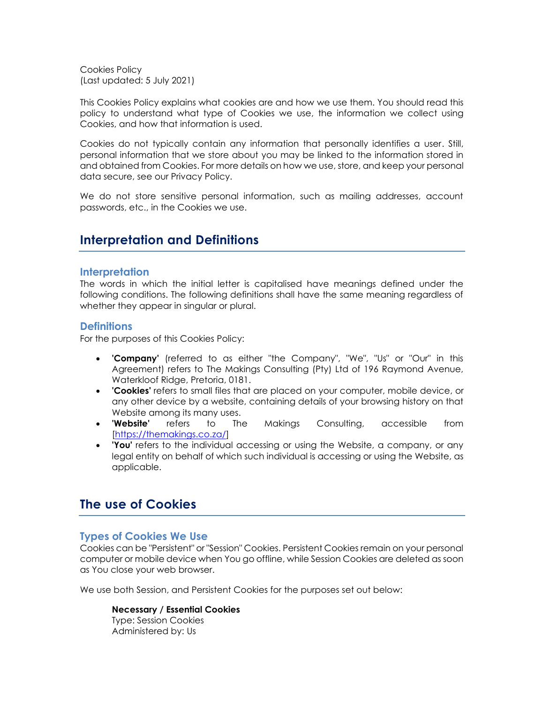Cookies Policy (Last updated: 5 July 2021)

This Cookies Policy explains what cookies are and how we use them. You should read this policy to understand what type of Cookies we use, the information we collect using Cookies, and how that information is used.

Cookies do not typically contain any information that personally identifies a user. Still, personal information that we store about you may be linked to the information stored in and obtained from Cookies. For more details on how we use, store, and keep your personal data secure, see our Privacy Policy.

We do not store sensitive personal information, such as mailing addresses, account passwords, etc., in the Cookies we use.

# **Interpretation and Definitions**

### **Interpretation**

The words in which the initial letter is capitalised have meanings defined under the following conditions. The following definitions shall have the same meaning regardless of whether they appear in singular or plural.

### **Definitions**

For the purposes of this Cookies Policy:

- **'Company'** (referred to as either "the Company", "We", "Us" or "Our" in this Agreement) refers to The Makings Consulting (Pty) Ltd of 196 Raymond Avenue, Waterkloof Ridge, Pretoria, 0181.
- **'Cookies'** refers to small files that are placed on your computer, mobile device, or any other device by a website, containing details of your browsing history on that Website among its many uses.
- **'Website'** refers to The Makings Consulting, accessible from [\[https://themakings.co.za/\]](https://themakings.co.za/)
- **'You'** refers to the individual accessing or using the Website, a company, or any legal entity on behalf of which such individual is accessing or using the Website, as applicable.

# **The use of Cookies**

## **Types of Cookies We Use**

Cookies can be "Persistent" or "Session" Cookies. Persistent Cookies remain on your personal computer or mobile device when You go offline, while Session Cookies are deleted as soon as You close your web browser.

We use both Session, and Persistent Cookies for the purposes set out below:

#### **Necessary / Essential Cookies**

Type: Session Cookies Administered by: Us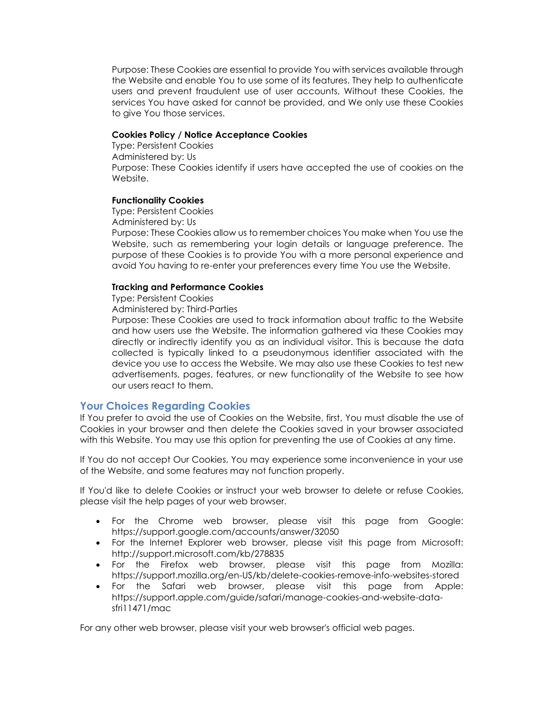Purpose: These Cookies are essential to provide You with services available through the Website and enable You to use some of its features. They help to authenticate users and prevent fraudulent use of user accounts. Without these Cookies, the services You have asked for cannot be provided, and We only use these Cookies to give You those services.

#### **Cookies Policy / Notice Acceptance Cookies**

Type: Persistent Cookies Administered by: Us Purpose: These Cookies identify if users have accepted the use of cookies on the Website.

#### **Functionality Cookies**

Type: Persistent Cookies

Administered by: Us

Purpose: These Cookies allow us to remember choices You make when You use the Website, such as remembering your login details or language preference. The purpose of these Cookies is to provide You with a more personal experience and avoid You having to re-enter your preferences every time You use the Website.

#### **Tracking and Performance Cookies**

Type: Persistent Cookies

Administered by: Third-Parties

Purpose: These Cookies are used to track information about traffic to the Website and how users use the Website. The information gathered via these Cookies may directly or indirectly identify you as an individual visitor. This is because the data collected is typically linked to a pseudonymous identifier associated with the device you use to access the Website. We may also use these Cookies to test new advertisements, pages, features, or new functionality of the Website to see how our users react to them.

## **Your Choices Regarding Cookies**

If You prefer to avoid the use of Cookies on the Website, first, You must disable the use of Cookies in your browser and then delete the Cookies saved in your browser associated with this Website. You may use this option for preventing the use of Cookies at any time.

If You do not accept Our Cookies, You may experience some inconvenience in your use of the Website, and some features may not function properly.

If You'd like to delete Cookies or instruct your web browser to delete or refuse Cookies, please visit the help pages of your web browser.

- For the Chrome web browser, please visit this page from Google: <https://support.google.com/accounts/answer/32050>
- For the Internet Explorer web browser, please visit this page from Microsoft: <http://support.microsoft.com/kb/278835>
- For the Firefox web browser, please visit this page from Mozilla: <https://support.mozilla.org/en-US/kb/delete-cookies-remove-info-websites-stored>
- For the Safari web browser, please visit this page from Apple: [https://support.apple.com/guide/safari/manage-cookies-and-website-data](https://support.apple.com/guide/safari/manage-cookies-and-website-data-sfri11471/mac)[sfri11471/mac](https://support.apple.com/guide/safari/manage-cookies-and-website-data-sfri11471/mac)

For any other web browser, please visit your web browser's official web pages.